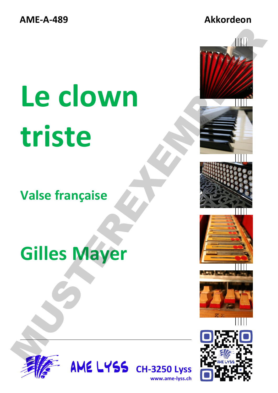**AME-A-489 Akkordeon** 

# **Le clown triste** Le clown<br>
triste<br>
Valse française<br>
Gilles Mayer<br>
Salte Mayer<br>
Salte Mayer

### **Valse française**

## **Gilles Mayer**



**AME LYSS CH-3250 Lyss www.ame-lyss.ch**